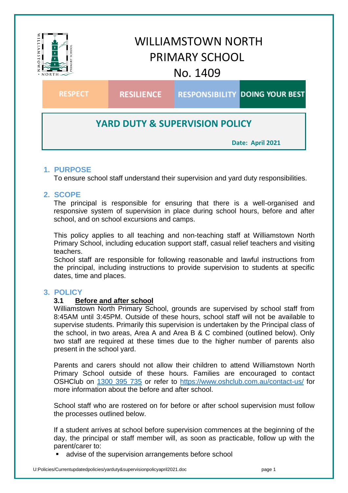

# **1. PURPOSE**

To ensure school staff understand their supervision and yard duty responsibilities.

# **2. SCOPE**

The principal is responsible for ensuring that there is a well-organised and responsive system of supervision in place during school hours, before and after school, and on school excursions and camps.

This policy applies to all teaching and non-teaching staff at Williamstown North Primary School, including education support staff, casual relief teachers and visiting teachers.

School staff are responsible for following reasonable and lawful instructions from the principal, including instructions to provide supervision to students at specific dates, time and places.

# **3. POLICY**

## **3.1 Before and after school**

Williamstown North Primary School, grounds are supervised by school staff from 8:45AM until 3:45PM. Outside of these hours, school staff will not be available to supervise students. Primarily this supervision is undertaken by the Principal class of the school, in two areas, Area A and Area B & C combined (outlined below). Only two staff are required at these times due to the higher number of parents also present in the school yard.

Parents and carers should not allow their children to attend Williamstown North Primary School outside of these hours. Families are encouraged to contact OSHClub on [1300 395 735](tel:1300395735) or refer to<https://www.oshclub.com.au/contact-us/> for more information about the before and after school.

School staff who are rostered on for before or after school supervision must follow the processes outlined below.

If a student arrives at school before supervision commences at the beginning of the day, the principal or staff member will, as soon as practicable, follow up with the parent/carer to:

advise of the supervision arrangements before school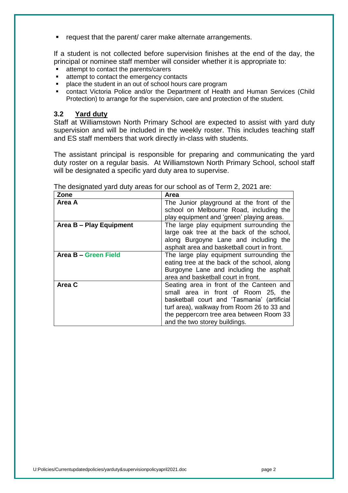**F** request that the parent/ carer make alternate arrangements.

If a student is not collected before supervision finishes at the end of the day, the principal or nominee staff member will consider whether it is appropriate to:

- attempt to contact the parents/carers
- **EXECUTE:** attempt to contact the emergency contacts
- **PEDDEX** place the student in an out of school hours care program
- contact Victoria Police and/or the Department of Health and Human Services (Child Protection) to arrange for the supervision, care and protection of the student.

### **3.2 Yard duty**

Staff at Williamstown North Primary School are expected to assist with yard duty supervision and will be included in the weekly roster. This includes teaching staff and ES staff members that work directly in-class with students.

The assistant principal is responsible for preparing and communicating the yard duty roster on a regular basis. At Williamstown North Primary School, school staff will be designated a specific vard duty area to supervise.

| Zone                    | Area                                         |
|-------------------------|----------------------------------------------|
| Area A                  | The Junior playground at the front of the    |
|                         | school on Melbourne Road, including the      |
|                         | play equipment and 'green' playing areas.    |
| Area B - Play Equipment | The large play equipment surrounding the     |
|                         | large oak tree at the back of the school,    |
|                         | along Burgoyne Lane and including the        |
|                         | asphalt area and basketball court in front.  |
| Area B - Green Field    | The large play equipment surrounding the     |
|                         | eating tree at the back of the school, along |
|                         | Burgoyne Lane and including the asphalt      |
|                         | area and basketball court in front.          |
| Area C                  | Seating area in front of the Canteen and     |
|                         | small area in front of Room 25, the          |
|                         | basketball court and 'Tasmania' (artificial  |
|                         | turf area), walkway from Room 26 to 33 and   |
|                         | the peppercorn tree area between Room 33     |
|                         | and the two storey buildings.                |

The designated yard duty areas for our school as of Term 2, 2021 are: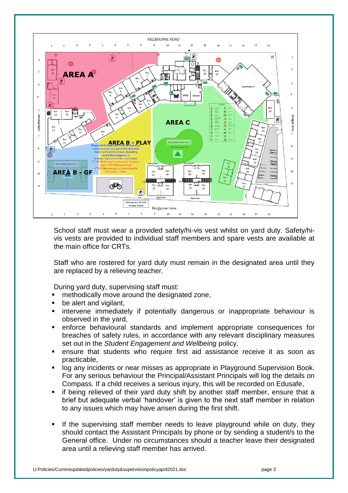

School staff must wear a provided safety/hi-vis vest whilst on yard duty. Safety/hivis vests are provided to individual staff members and spare vests are available at the main office for CRTs.

Staff who are rostered for yard duty must remain in the designated area until they are replaced by a relieving teacher.

During yard duty, supervising staff must:

- **EXECUTE:** methodically move around the designated zone,
- **be alert and vigilant,**
- **EXT** intervene immediately if potentially dangerous or inappropriate behaviour is observed in the yard,
- enforce behavioural standards and implement appropriate consequences for breaches of safety rules, in accordance with any relevant disciplinary measures set out in the *Student Engagement and Wellbeing* policy,
- ensure that students who require first aid assistance receive it as soon as practicable,
- log any incidents or near misses as appropriate in Playground Supervision Book. For any serious behaviour the Principal/Assistant Principals will log the details on Compass. If a child receives a serious injury, this will be recorded on Edusafe,
- **if being relieved of their yard duty shift by another staff member, ensure that a** brief but adequate verbal 'handover' is given to the next staff member in relation to any issues which may have arisen during the first shift.
- If the supervising staff member needs to leave playground while on duty, they should contact the Assistant Principals by phone or by sending a student/s to the General office. Under no circumstances should a teacher leave their designated area until a relieving staff member has arrived.